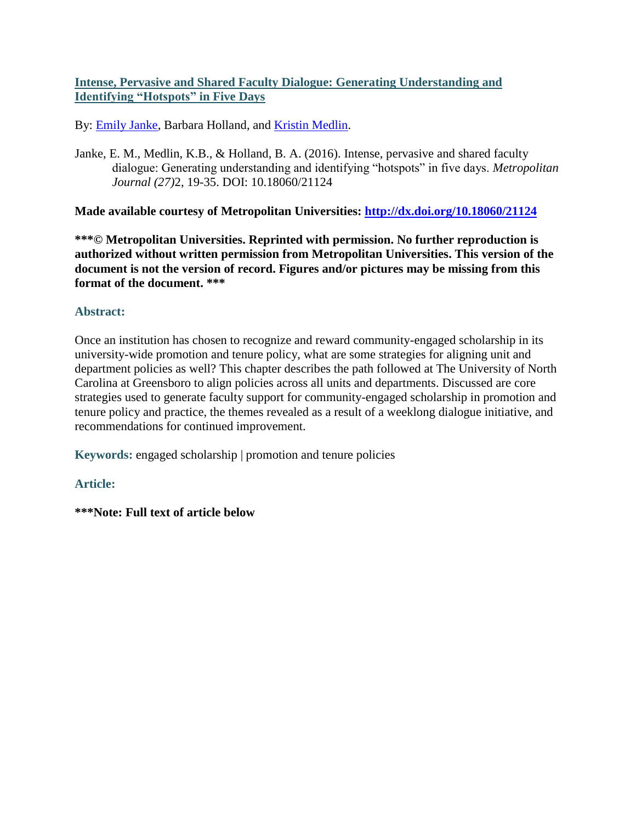### **Intense, Pervasive and Shared Faculty Dialogue: Generating Understanding and Identifying "Hotspots" in Five Days**

By: [Emily Janke,](https://libres.uncg.edu/ir/uncg/clist.aspx?id=13855) Barbara Holland, and [Kristin Medlin.](https://libres.uncg.edu/ir/uncg/clist.aspx?id=13862)

Janke, E. M., Medlin, K.B., & Holland, B. A. (2016). Intense, pervasive and shared faculty dialogue: Generating understanding and identifying "hotspots" in five days. *Metropolitan Journal (27)*2, 19-35. DOI: 10.18060/21124

**Made available courtesy of Metropolitan Universities:<http://dx.doi.org/10.18060/21124>**

**\*\*\*© Metropolitan Universities. Reprinted with permission. No further reproduction is authorized without written permission from Metropolitan Universities. This version of the document is not the version of record. Figures and/or pictures may be missing from this format of the document. \*\*\***

### **Abstract:**

Once an institution has chosen to recognize and reward community-engaged scholarship in its university-wide promotion and tenure policy, what are some strategies for aligning unit and department policies as well? This chapter describes the path followed at The University of North Carolina at Greensboro to align policies across all units and departments. Discussed are core strategies used to generate faculty support for community-engaged scholarship in promotion and tenure policy and practice, the themes revealed as a result of a weeklong dialogue initiative, and recommendations for continued improvement.

**Keywords:** engaged scholarship | promotion and tenure policies

### **Article:**

**\*\*\*Note: Full text of article below**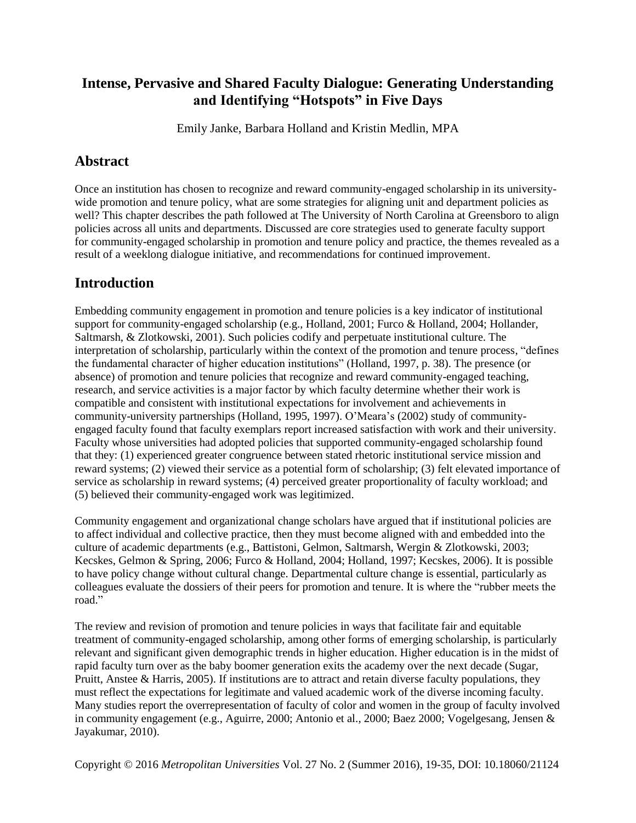# **Intense, Pervasive and Shared Faculty Dialogue: Generating Understanding and Identifying "Hotspots" in Five Days**

Emily Janke, Barbara Holland and Kristin Medlin, MPA

# **Abstract**

Once an institution has chosen to recognize and reward community-engaged scholarship in its universitywide promotion and tenure policy, what are some strategies for aligning unit and department policies as well? This chapter describes the path followed at The University of North Carolina at Greensboro to align policies across all units and departments. Discussed are core strategies used to generate faculty support for community-engaged scholarship in promotion and tenure policy and practice, the themes revealed as a result of a weeklong dialogue initiative, and recommendations for continued improvement.

# **Introduction**

Embedding community engagement in promotion and tenure policies is a key indicator of institutional support for community-engaged scholarship (e.g., Holland, 2001; Furco & Holland, 2004; Hollander, Saltmarsh, & Zlotkowski, 2001). Such policies codify and perpetuate institutional culture. The interpretation of scholarship, particularly within the context of the promotion and tenure process, "defines the fundamental character of higher education institutions" (Holland, 1997, p. 38). The presence (or absence) of promotion and tenure policies that recognize and reward community-engaged teaching, research, and service activities is a major factor by which faculty determine whether their work is compatible and consistent with institutional expectations for involvement and achievements in community-university partnerships (Holland, 1995, 1997). O'Meara's (2002) study of communityengaged faculty found that faculty exemplars report increased satisfaction with work and their university. Faculty whose universities had adopted policies that supported community-engaged scholarship found that they: (1) experienced greater congruence between stated rhetoric institutional service mission and reward systems; (2) viewed their service as a potential form of scholarship; (3) felt elevated importance of service as scholarship in reward systems; (4) perceived greater proportionality of faculty workload; and (5) believed their community-engaged work was legitimized.

Community engagement and organizational change scholars have argued that if institutional policies are to affect individual and collective practice, then they must become aligned with and embedded into the culture of academic departments (e.g., Battistoni, Gelmon, Saltmarsh, Wergin & Zlotkowski, 2003; Kecskes, Gelmon & Spring, 2006; Furco & Holland, 2004; Holland, 1997; Kecskes, 2006). It is possible to have policy change without cultural change. Departmental culture change is essential, particularly as colleagues evaluate the dossiers of their peers for promotion and tenure. It is where the "rubber meets the road."

The review and revision of promotion and tenure policies in ways that facilitate fair and equitable treatment of community-engaged scholarship, among other forms of emerging scholarship, is particularly relevant and significant given demographic trends in higher education. Higher education is in the midst of rapid faculty turn over as the baby boomer generation exits the academy over the next decade (Sugar, Pruitt, Anstee & Harris, 2005). If institutions are to attract and retain diverse faculty populations, they must reflect the expectations for legitimate and valued academic work of the diverse incoming faculty. Many studies report the overrepresentation of faculty of color and women in the group of faculty involved in community engagement (e.g., Aguirre, 2000; Antonio et al., 2000; Baez 2000; Vogelgesang, Jensen & Jayakumar, 2010).

Copyright © 2016 *Metropolitan Universities* Vol. 27 No. 2 (Summer 2016), 19-35, DOI: 10.18060/21124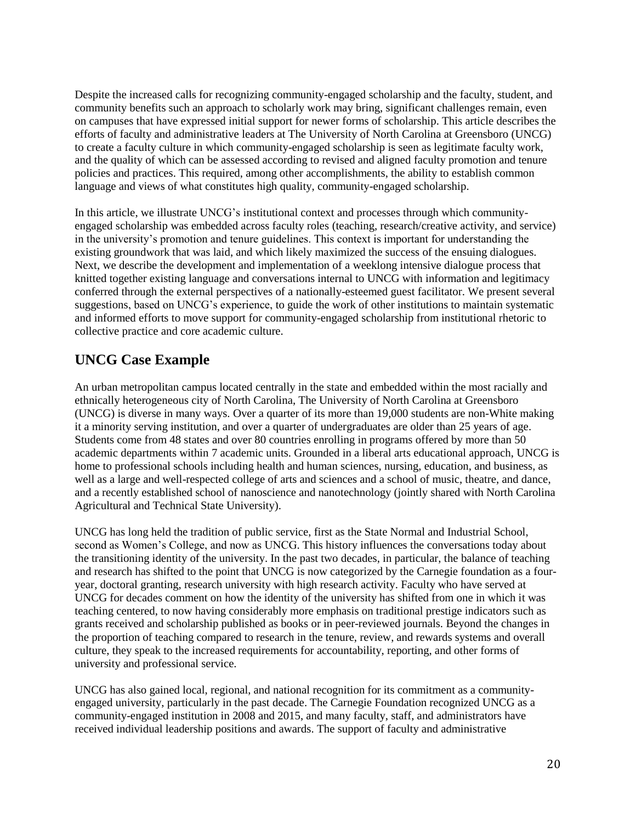Despite the increased calls for recognizing community-engaged scholarship and the faculty, student, and community benefits such an approach to scholarly work may bring, significant challenges remain, even on campuses that have expressed initial support for newer forms of scholarship. This article describes the efforts of faculty and administrative leaders at The University of North Carolina at Greensboro (UNCG) to create a faculty culture in which community-engaged scholarship is seen as legitimate faculty work, and the quality of which can be assessed according to revised and aligned faculty promotion and tenure policies and practices. This required, among other accomplishments, the ability to establish common language and views of what constitutes high quality, community-engaged scholarship.

In this article, we illustrate UNCG's institutional context and processes through which communityengaged scholarship was embedded across faculty roles (teaching, research/creative activity, and service) in the university's promotion and tenure guidelines. This context is important for understanding the existing groundwork that was laid, and which likely maximized the success of the ensuing dialogues. Next, we describe the development and implementation of a weeklong intensive dialogue process that knitted together existing language and conversations internal to UNCG with information and legitimacy conferred through the external perspectives of a nationally-esteemed guest facilitator. We present several suggestions, based on UNCG's experience, to guide the work of other institutions to maintain systematic and informed efforts to move support for community-engaged scholarship from institutional rhetoric to collective practice and core academic culture.

# **UNCG Case Example**

An urban metropolitan campus located centrally in the state and embedded within the most racially and ethnically heterogeneous city of North Carolina, The University of North Carolina at Greensboro (UNCG) is diverse in many ways. Over a quarter of its more than 19,000 students are non-White making it a minority serving institution, and over a quarter of undergraduates are older than 25 years of age. Students come from 48 states and over 80 countries enrolling in programs offered by more than 50 academic departments within 7 academic units. Grounded in a liberal arts educational approach, UNCG is home to professional schools including health and human sciences, nursing, education, and business, as well as a large and well-respected college of arts and sciences and a school of music, theatre, and dance, and a recently established school of nanoscience and nanotechnology (jointly shared with North Carolina Agricultural and Technical State University).

UNCG has long held the tradition of public service, first as the State Normal and Industrial School, second as Women's College, and now as UNCG. This history influences the conversations today about the transitioning identity of the university. In the past two decades, in particular, the balance of teaching and research has shifted to the point that UNCG is now categorized by the Carnegie foundation as a fouryear, doctoral granting, research university with high research activity. Faculty who have served at UNCG for decades comment on how the identity of the university has shifted from one in which it was teaching centered, to now having considerably more emphasis on traditional prestige indicators such as grants received and scholarship published as books or in peer-reviewed journals. Beyond the changes in the proportion of teaching compared to research in the tenure, review, and rewards systems and overall culture, they speak to the increased requirements for accountability, reporting, and other forms of university and professional service.

UNCG has also gained local, regional, and national recognition for its commitment as a communityengaged university, particularly in the past decade. The Carnegie Foundation recognized UNCG as a community-engaged institution in 2008 and 2015, and many faculty, staff, and administrators have received individual leadership positions and awards. The support of faculty and administrative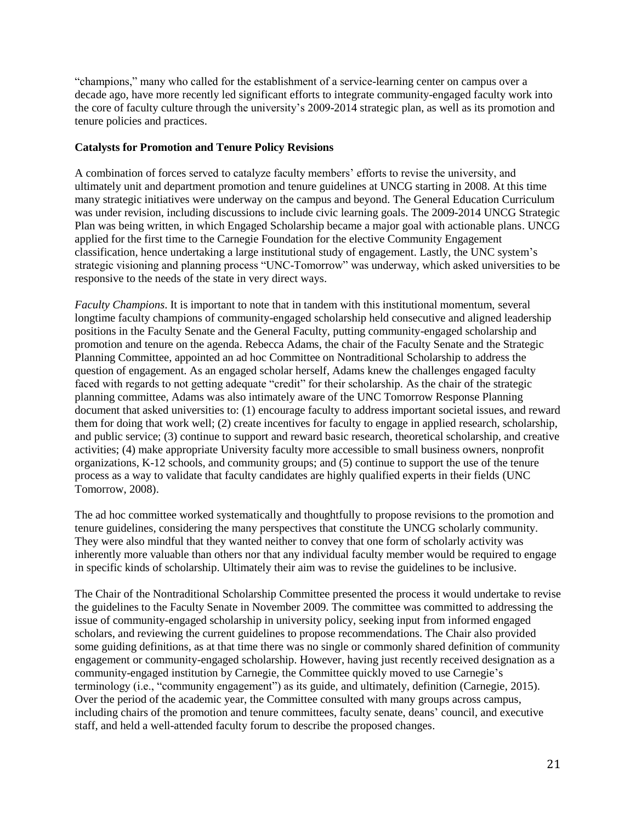"champions," many who called for the establishment of a service-learning center on campus over a decade ago, have more recently led significant efforts to integrate community-engaged faculty work into the core of faculty culture through the university's 2009-2014 strategic plan, as well as its promotion and tenure policies and practices.

#### **Catalysts for Promotion and Tenure Policy Revisions**

A combination of forces served to catalyze faculty members' efforts to revise the university, and ultimately unit and department promotion and tenure guidelines at UNCG starting in 2008. At this time many strategic initiatives were underway on the campus and beyond. The General Education Curriculum was under revision, including discussions to include civic learning goals. The 2009-2014 UNCG Strategic Plan was being written, in which Engaged Scholarship became a major goal with actionable plans. UNCG applied for the first time to the Carnegie Foundation for the elective Community Engagement classification, hence undertaking a large institutional study of engagement. Lastly, the UNC system's strategic visioning and planning process "UNC-Tomorrow" was underway, which asked universities to be responsive to the needs of the state in very direct ways.

*Faculty Champions*. It is important to note that in tandem with this institutional momentum, several longtime faculty champions of community-engaged scholarship held consecutive and aligned leadership positions in the Faculty Senate and the General Faculty, putting community-engaged scholarship and promotion and tenure on the agenda. Rebecca Adams, the chair of the Faculty Senate and the Strategic Planning Committee, appointed an ad hoc Committee on Nontraditional Scholarship to address the question of engagement. As an engaged scholar herself, Adams knew the challenges engaged faculty faced with regards to not getting adequate "credit" for their scholarship. As the chair of the strategic planning committee, Adams was also intimately aware of the UNC Tomorrow Response Planning document that asked universities to: (1) encourage faculty to address important societal issues, and reward them for doing that work well; (2) create incentives for faculty to engage in applied research, scholarship, and public service; (3) continue to support and reward basic research, theoretical scholarship, and creative activities; (4) make appropriate University faculty more accessible to small business owners, nonprofit organizations, K-12 schools, and community groups; and (5) continue to support the use of the tenure process as a way to validate that faculty candidates are highly qualified experts in their fields (UNC Tomorrow, 2008).

The ad hoc committee worked systematically and thoughtfully to propose revisions to the promotion and tenure guidelines, considering the many perspectives that constitute the UNCG scholarly community. They were also mindful that they wanted neither to convey that one form of scholarly activity was inherently more valuable than others nor that any individual faculty member would be required to engage in specific kinds of scholarship. Ultimately their aim was to revise the guidelines to be inclusive.

The Chair of the Nontraditional Scholarship Committee presented the process it would undertake to revise the guidelines to the Faculty Senate in November 2009. The committee was committed to addressing the issue of community-engaged scholarship in university policy, seeking input from informed engaged scholars, and reviewing the current guidelines to propose recommendations. The Chair also provided some guiding definitions, as at that time there was no single or commonly shared definition of community engagement or community-engaged scholarship. However, having just recently received designation as a community-engaged institution by Carnegie, the Committee quickly moved to use Carnegie's terminology (i.e., "community engagement") as its guide, and ultimately, definition (Carnegie, 2015). Over the period of the academic year, the Committee consulted with many groups across campus, including chairs of the promotion and tenure committees, faculty senate, deans' council, and executive staff, and held a well-attended faculty forum to describe the proposed changes.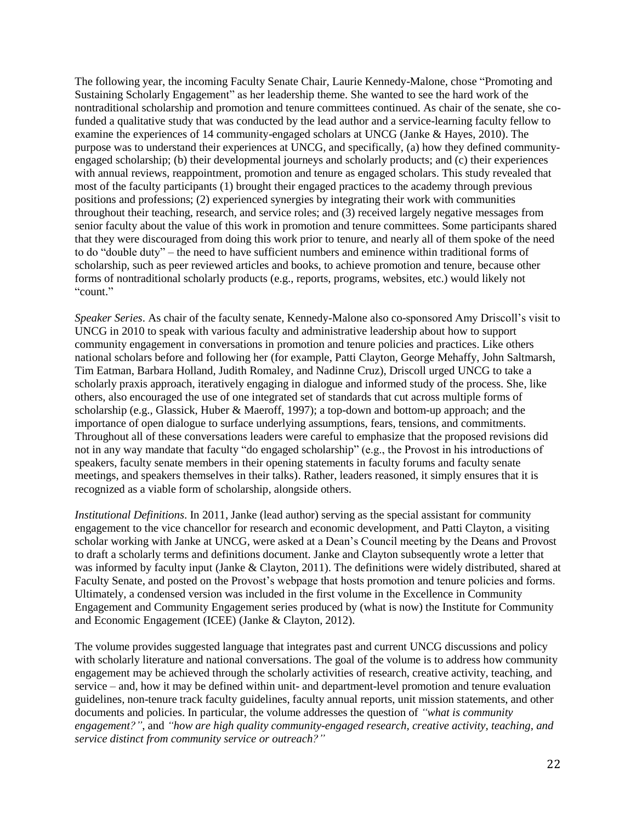The following year, the incoming Faculty Senate Chair, Laurie Kennedy-Malone, chose "Promoting and Sustaining Scholarly Engagement" as her leadership theme. She wanted to see the hard work of the nontraditional scholarship and promotion and tenure committees continued. As chair of the senate, she cofunded a qualitative study that was conducted by the lead author and a service-learning faculty fellow to examine the experiences of 14 community-engaged scholars at UNCG (Janke & Hayes, 2010). The purpose was to understand their experiences at UNCG, and specifically, (a) how they defined communityengaged scholarship; (b) their developmental journeys and scholarly products; and (c) their experiences with annual reviews, reappointment, promotion and tenure as engaged scholars. This study revealed that most of the faculty participants (1) brought their engaged practices to the academy through previous positions and professions; (2) experienced synergies by integrating their work with communities throughout their teaching, research, and service roles; and (3) received largely negative messages from senior faculty about the value of this work in promotion and tenure committees. Some participants shared that they were discouraged from doing this work prior to tenure, and nearly all of them spoke of the need to do "double duty" – the need to have sufficient numbers and eminence within traditional forms of scholarship, such as peer reviewed articles and books, to achieve promotion and tenure, because other forms of nontraditional scholarly products (e.g., reports, programs, websites, etc.) would likely not "count."

*Speaker Series*. As chair of the faculty senate, Kennedy-Malone also co-sponsored Amy Driscoll's visit to UNCG in 2010 to speak with various faculty and administrative leadership about how to support community engagement in conversations in promotion and tenure policies and practices. Like others national scholars before and following her (for example, Patti Clayton, George Mehaffy, John Saltmarsh, Tim Eatman, Barbara Holland, Judith Romaley, and Nadinne Cruz), Driscoll urged UNCG to take a scholarly praxis approach, iteratively engaging in dialogue and informed study of the process. She, like others, also encouraged the use of one integrated set of standards that cut across multiple forms of scholarship (e.g., Glassick, Huber & Maeroff, 1997); a top-down and bottom-up approach; and the importance of open dialogue to surface underlying assumptions, fears, tensions, and commitments. Throughout all of these conversations leaders were careful to emphasize that the proposed revisions did not in any way mandate that faculty "do engaged scholarship" (e.g., the Provost in his introductions of speakers, faculty senate members in their opening statements in faculty forums and faculty senate meetings, and speakers themselves in their talks). Rather, leaders reasoned, it simply ensures that it is recognized as a viable form of scholarship, alongside others.

*Institutional Definitions*. In 2011, Janke (lead author) serving as the special assistant for community engagement to the vice chancellor for research and economic development, and Patti Clayton, a visiting scholar working with Janke at UNCG, were asked at a Dean's Council meeting by the Deans and Provost to draft a scholarly terms and definitions document. Janke and Clayton subsequently wrote a letter that was informed by faculty input (Janke & Clayton, 2011). The definitions were widely distributed, shared at Faculty Senate, and posted on the Provost's webpage that hosts promotion and tenure policies and forms. Ultimately, a condensed version was included in the first volume in the Excellence in Community Engagement and Community Engagement series produced by (what is now) the Institute for Community and Economic Engagement (ICEE) (Janke & Clayton, 2012).

The volume provides suggested language that integrates past and current UNCG discussions and policy with scholarly literature and national conversations. The goal of the volume is to address how community engagement may be achieved through the scholarly activities of research, creative activity, teaching, and service – and, how it may be defined within unit- and department-level promotion and tenure evaluation guidelines, non-tenure track faculty guidelines, faculty annual reports, unit mission statements, and other documents and policies. In particular, the volume addresses the question of *"what is community engagement?"*, and *"how are high quality community-engaged research, creative activity, teaching, and service distinct from community service or outreach?"*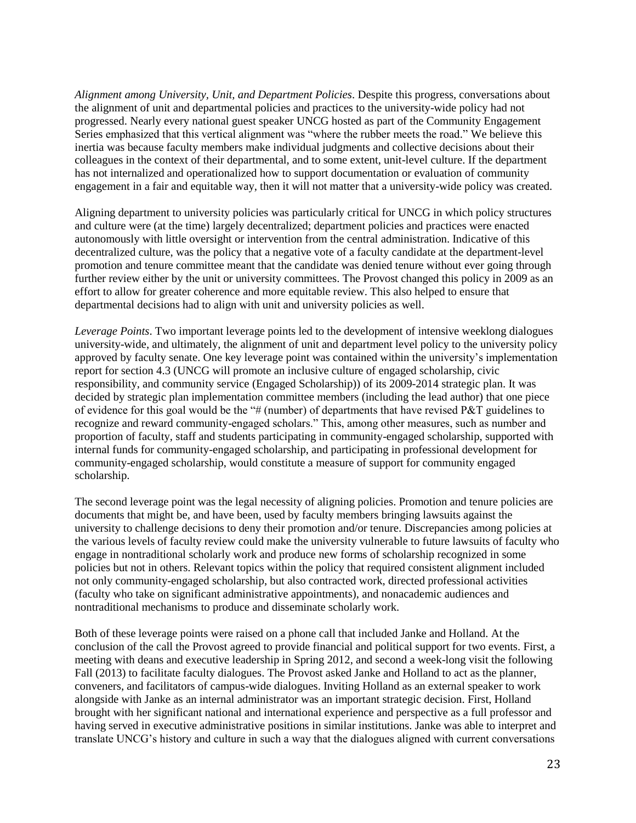*Alignment among University, Unit, and Department Policies*. Despite this progress, conversations about the alignment of unit and departmental policies and practices to the university-wide policy had not progressed. Nearly every national guest speaker UNCG hosted as part of the Community Engagement Series emphasized that this vertical alignment was "where the rubber meets the road." We believe this inertia was because faculty members make individual judgments and collective decisions about their colleagues in the context of their departmental, and to some extent, unit-level culture. If the department has not internalized and operationalized how to support documentation or evaluation of community engagement in a fair and equitable way, then it will not matter that a university-wide policy was created.

Aligning department to university policies was particularly critical for UNCG in which policy structures and culture were (at the time) largely decentralized; department policies and practices were enacted autonomously with little oversight or intervention from the central administration. Indicative of this decentralized culture, was the policy that a negative vote of a faculty candidate at the department-level promotion and tenure committee meant that the candidate was denied tenure without ever going through further review either by the unit or university committees. The Provost changed this policy in 2009 as an effort to allow for greater coherence and more equitable review. This also helped to ensure that departmental decisions had to align with unit and university policies as well.

*Leverage Points*. Two important leverage points led to the development of intensive weeklong dialogues university-wide, and ultimately, the alignment of unit and department level policy to the university policy approved by faculty senate. One key leverage point was contained within the university's implementation report for section 4.3 (UNCG will promote an inclusive culture of engaged scholarship, civic responsibility, and community service (Engaged Scholarship)) of its 2009-2014 strategic plan. It was decided by strategic plan implementation committee members (including the lead author) that one piece of evidence for this goal would be the "# (number) of departments that have revised  $P\&T$  guidelines to recognize and reward community-engaged scholars." This, among other measures, such as number and proportion of faculty, staff and students participating in community-engaged scholarship, supported with internal funds for community-engaged scholarship, and participating in professional development for community-engaged scholarship, would constitute a measure of support for community engaged scholarship.

The second leverage point was the legal necessity of aligning policies. Promotion and tenure policies are documents that might be, and have been, used by faculty members bringing lawsuits against the university to challenge decisions to deny their promotion and/or tenure. Discrepancies among policies at the various levels of faculty review could make the university vulnerable to future lawsuits of faculty who engage in nontraditional scholarly work and produce new forms of scholarship recognized in some policies but not in others. Relevant topics within the policy that required consistent alignment included not only community-engaged scholarship, but also contracted work, directed professional activities (faculty who take on significant administrative appointments), and nonacademic audiences and nontraditional mechanisms to produce and disseminate scholarly work.

Both of these leverage points were raised on a phone call that included Janke and Holland. At the conclusion of the call the Provost agreed to provide financial and political support for two events. First, a meeting with deans and executive leadership in Spring 2012, and second a week-long visit the following Fall (2013) to facilitate faculty dialogues. The Provost asked Janke and Holland to act as the planner, conveners, and facilitators of campus-wide dialogues. Inviting Holland as an external speaker to work alongside with Janke as an internal administrator was an important strategic decision. First, Holland brought with her significant national and international experience and perspective as a full professor and having served in executive administrative positions in similar institutions. Janke was able to interpret and translate UNCG's history and culture in such a way that the dialogues aligned with current conversations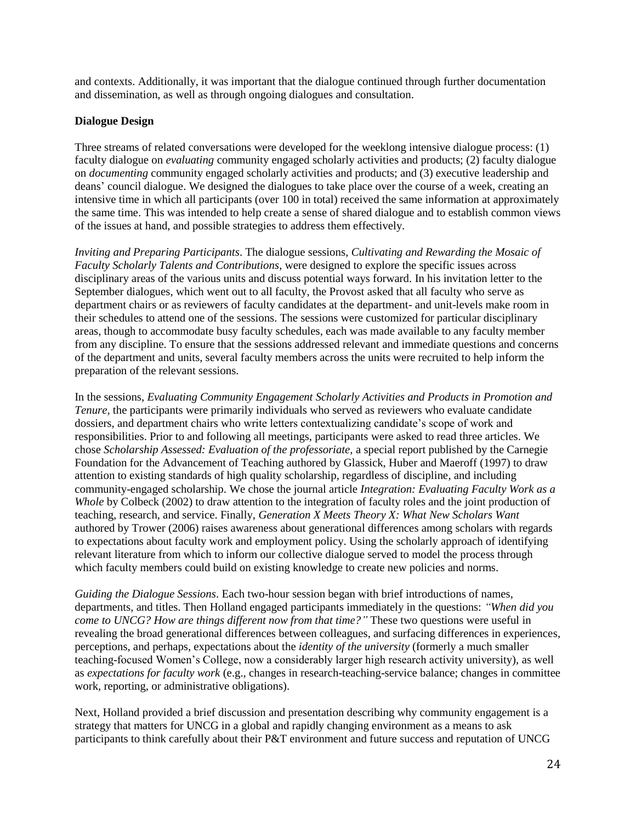and contexts. Additionally, it was important that the dialogue continued through further documentation and dissemination, as well as through ongoing dialogues and consultation.

#### **Dialogue Design**

Three streams of related conversations were developed for the weeklong intensive dialogue process: (1) faculty dialogue on *evaluating* community engaged scholarly activities and products; (2) faculty dialogue on *documenting* community engaged scholarly activities and products; and (3) executive leadership and deans' council dialogue. We designed the dialogues to take place over the course of a week, creating an intensive time in which all participants (over 100 in total) received the same information at approximately the same time. This was intended to help create a sense of shared dialogue and to establish common views of the issues at hand, and possible strategies to address them effectively.

*Inviting and Preparing Participants*. The dialogue sessions, *Cultivating and Rewarding the Mosaic of Faculty Scholarly Talents and Contributions*, were designed to explore the specific issues across disciplinary areas of the various units and discuss potential ways forward. In his invitation letter to the September dialogues, which went out to all faculty, the Provost asked that all faculty who serve as department chairs or as reviewers of faculty candidates at the department- and unit-levels make room in their schedules to attend one of the sessions. The sessions were customized for particular disciplinary areas, though to accommodate busy faculty schedules, each was made available to any faculty member from any discipline. To ensure that the sessions addressed relevant and immediate questions and concerns of the department and units, several faculty members across the units were recruited to help inform the preparation of the relevant sessions.

In the sessions, *Evaluating Community Engagement Scholarly Activities and Products in Promotion and Tenure,* the participants were primarily individuals who served as reviewers who evaluate candidate dossiers, and department chairs who write letters contextualizing candidate's scope of work and responsibilities. Prior to and following all meetings, participants were asked to read three articles. We chose *Scholarship Assessed: Evaluation of the professoriate,* a special report published by the Carnegie Foundation for the Advancement of Teaching authored by Glassick, Huber and Maeroff (1997) to draw attention to existing standards of high quality scholarship, regardless of discipline, and including community-engaged scholarship. We chose the journal article *Integration: Evaluating Faculty Work as a Whole* by Colbeck (2002) to draw attention to the integration of faculty roles and the joint production of teaching, research, and service. Finally, *Generation X Meets Theory X: What New Scholars Want*  authored by Trower (2006) raises awareness about generational differences among scholars with regards to expectations about faculty work and employment policy. Using the scholarly approach of identifying relevant literature from which to inform our collective dialogue served to model the process through which faculty members could build on existing knowledge to create new policies and norms.

*Guiding the Dialogue Sessions*. Each two-hour session began with brief introductions of names, departments, and titles. Then Holland engaged participants immediately in the questions: *"When did you come to UNCG? How are things different now from that time?"* These two questions were useful in revealing the broad generational differences between colleagues, and surfacing differences in experiences, perceptions, and perhaps, expectations about the *identity of the university* (formerly a much smaller teaching-focused Women's College, now a considerably larger high research activity university), as well as *expectations for faculty work* (e.g., changes in research-teaching-service balance; changes in committee work, reporting, or administrative obligations).

Next, Holland provided a brief discussion and presentation describing why community engagement is a strategy that matters for UNCG in a global and rapidly changing environment as a means to ask participants to think carefully about their P&T environment and future success and reputation of UNCG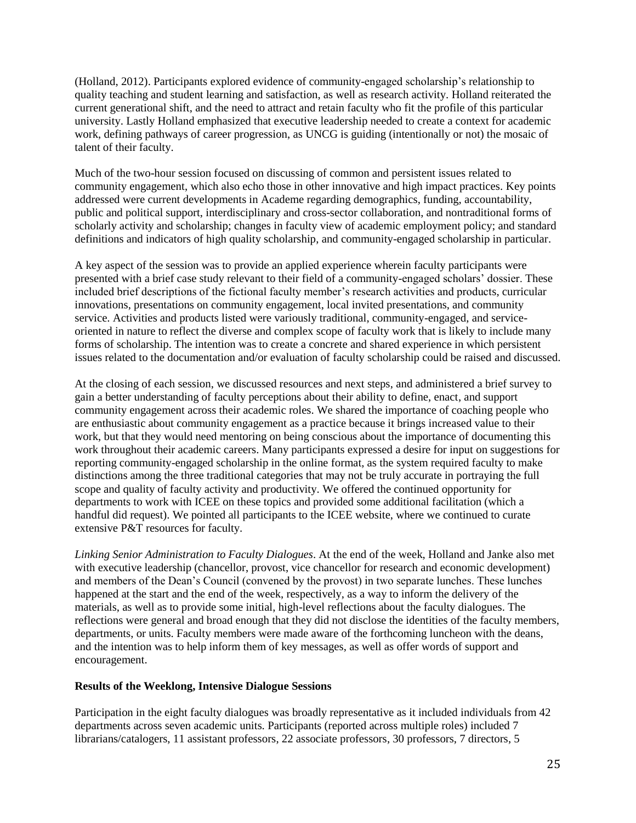(Holland, 2012). Participants explored evidence of community-engaged scholarship's relationship to quality teaching and student learning and satisfaction, as well as research activity. Holland reiterated the current generational shift, and the need to attract and retain faculty who fit the profile of this particular university. Lastly Holland emphasized that executive leadership needed to create a context for academic work, defining pathways of career progression, as UNCG is guiding (intentionally or not) the mosaic of talent of their faculty.

Much of the two-hour session focused on discussing of common and persistent issues related to community engagement, which also echo those in other innovative and high impact practices. Key points addressed were current developments in Academe regarding demographics, funding, accountability, public and political support, interdisciplinary and cross-sector collaboration, and nontraditional forms of scholarly activity and scholarship; changes in faculty view of academic employment policy; and standard definitions and indicators of high quality scholarship, and community-engaged scholarship in particular.

A key aspect of the session was to provide an applied experience wherein faculty participants were presented with a brief case study relevant to their field of a community-engaged scholars' dossier. These included brief descriptions of the fictional faculty member's research activities and products, curricular innovations, presentations on community engagement, local invited presentations, and community service. Activities and products listed were variously traditional, community-engaged, and serviceoriented in nature to reflect the diverse and complex scope of faculty work that is likely to include many forms of scholarship. The intention was to create a concrete and shared experience in which persistent issues related to the documentation and/or evaluation of faculty scholarship could be raised and discussed.

At the closing of each session, we discussed resources and next steps, and administered a brief survey to gain a better understanding of faculty perceptions about their ability to define, enact, and support community engagement across their academic roles. We shared the importance of coaching people who are enthusiastic about community engagement as a practice because it brings increased value to their work, but that they would need mentoring on being conscious about the importance of documenting this work throughout their academic careers. Many participants expressed a desire for input on suggestions for reporting community-engaged scholarship in the online format, as the system required faculty to make distinctions among the three traditional categories that may not be truly accurate in portraying the full scope and quality of faculty activity and productivity. We offered the continued opportunity for departments to work with ICEE on these topics and provided some additional facilitation (which a handful did request). We pointed all participants to the ICEE website, where we continued to curate extensive P&T resources for faculty.

*Linking Senior Administration to Faculty Dialogues*. At the end of the week, Holland and Janke also met with executive leadership (chancellor, provost, vice chancellor for research and economic development) and members of the Dean's Council (convened by the provost) in two separate lunches. These lunches happened at the start and the end of the week, respectively, as a way to inform the delivery of the materials, as well as to provide some initial, high-level reflections about the faculty dialogues. The reflections were general and broad enough that they did not disclose the identities of the faculty members, departments, or units. Faculty members were made aware of the forthcoming luncheon with the deans, and the intention was to help inform them of key messages, as well as offer words of support and encouragement.

#### **Results of the Weeklong, Intensive Dialogue Sessions**

Participation in the eight faculty dialogues was broadly representative as it included individuals from 42 departments across seven academic units. Participants (reported across multiple roles) included 7 librarians/catalogers, 11 assistant professors, 22 associate professors, 30 professors, 7 directors, 5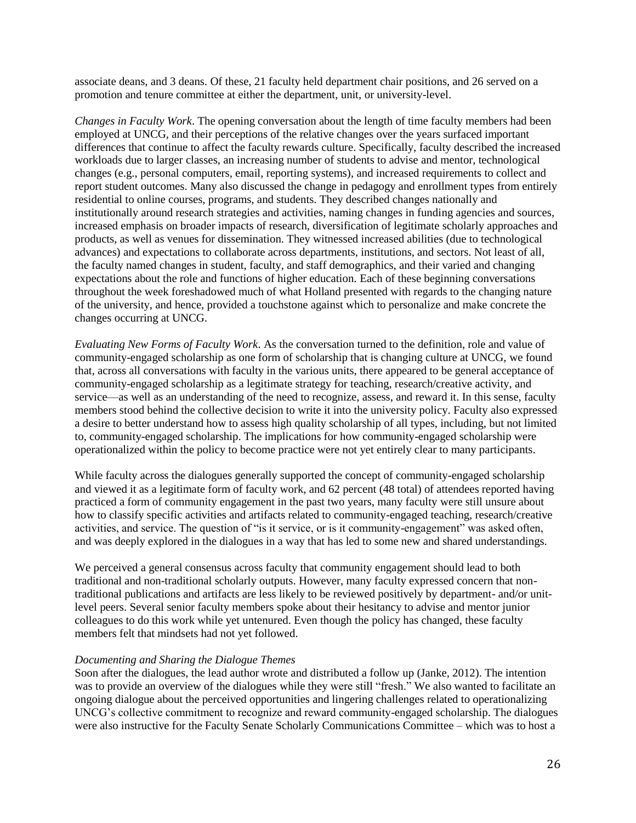associate deans, and 3 deans. Of these, 21 faculty held department chair positions, and 26 served on a promotion and tenure committee at either the department, unit, or university-level.

*Changes in Faculty Work*. The opening conversation about the length of time faculty members had been employed at UNCG, and their perceptions of the relative changes over the years surfaced important differences that continue to affect the faculty rewards culture. Specifically, faculty described the increased workloads due to larger classes, an increasing number of students to advise and mentor, technological changes (e.g., personal computers, email, reporting systems), and increased requirements to collect and report student outcomes. Many also discussed the change in pedagogy and enrollment types from entirely residential to online courses, programs, and students. They described changes nationally and institutionally around research strategies and activities, naming changes in funding agencies and sources, increased emphasis on broader impacts of research, diversification of legitimate scholarly approaches and products, as well as venues for dissemination. They witnessed increased abilities (due to technological advances) and expectations to collaborate across departments, institutions, and sectors. Not least of all, the faculty named changes in student, faculty, and staff demographics, and their varied and changing expectations about the role and functions of higher education. Each of these beginning conversations throughout the week foreshadowed much of what Holland presented with regards to the changing nature of the university, and hence, provided a touchstone against which to personalize and make concrete the changes occurring at UNCG.

*Evaluating New Forms of Faculty Work*. As the conversation turned to the definition, role and value of community-engaged scholarship as one form of scholarship that is changing culture at UNCG, we found that, across all conversations with faculty in the various units, there appeared to be general acceptance of community-engaged scholarship as a legitimate strategy for teaching, research/creative activity, and service—as well as an understanding of the need to recognize, assess, and reward it. In this sense, faculty members stood behind the collective decision to write it into the university policy. Faculty also expressed a desire to better understand how to assess high quality scholarship of all types, including, but not limited to, community-engaged scholarship. The implications for how community-engaged scholarship were operationalized within the policy to become practice were not yet entirely clear to many participants.

While faculty across the dialogues generally supported the concept of community-engaged scholarship and viewed it as a legitimate form of faculty work, and 62 percent (48 total) of attendees reported having practiced a form of community engagement in the past two years, many faculty were still unsure about how to classify specific activities and artifacts related to community-engaged teaching, research/creative activities, and service. The question of "is it service, or is it community-engagement" was asked often, and was deeply explored in the dialogues in a way that has led to some new and shared understandings.

We perceived a general consensus across faculty that community engagement should lead to both traditional and non-traditional scholarly outputs. However, many faculty expressed concern that nontraditional publications and artifacts are less likely to be reviewed positively by department- and/or unitlevel peers. Several senior faculty members spoke about their hesitancy to advise and mentor junior colleagues to do this work while yet untenured. Even though the policy has changed, these faculty members felt that mindsets had not yet followed.

#### *Documenting and Sharing the Dialogue Themes*

Soon after the dialogues, the lead author wrote and distributed a follow up (Janke, 2012). The intention was to provide an overview of the dialogues while they were still "fresh." We also wanted to facilitate an ongoing dialogue about the perceived opportunities and lingering challenges related to operationalizing UNCG's collective commitment to recognize and reward community-engaged scholarship. The dialogues were also instructive for the Faculty Senate Scholarly Communications Committee – which was to host a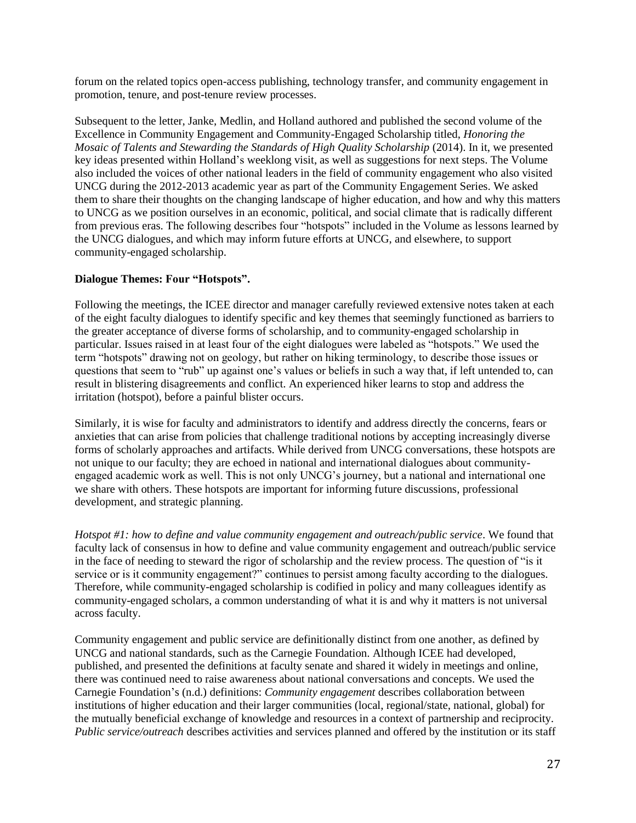forum on the related topics open-access publishing, technology transfer, and community engagement in promotion, tenure, and post-tenure review processes.

Subsequent to the letter, Janke, Medlin, and Holland authored and published the second volume of the Excellence in Community Engagement and Community-Engaged Scholarship titled, *Honoring the Mosaic of Talents and Stewarding the Standards of High Quality Scholarship (2014).* In it, we presented key ideas presented within Holland's weeklong visit, as well as suggestions for next steps. The Volume also included the voices of other national leaders in the field of community engagement who also visited UNCG during the 2012-2013 academic year as part of the Community Engagement Series. We asked them to share their thoughts on the changing landscape of higher education, and how and why this matters to UNCG as we position ourselves in an economic, political, and social climate that is radically different from previous eras. The following describes four "hotspots" included in the Volume as lessons learned by the UNCG dialogues, and which may inform future efforts at UNCG, and elsewhere, to support community-engaged scholarship.

#### **Dialogue Themes: Four "Hotspots".**

Following the meetings, the ICEE director and manager carefully reviewed extensive notes taken at each of the eight faculty dialogues to identify specific and key themes that seemingly functioned as barriers to the greater acceptance of diverse forms of scholarship, and to community-engaged scholarship in particular. Issues raised in at least four of the eight dialogues were labeled as "hotspots." We used the term "hotspots" drawing not on geology, but rather on hiking terminology, to describe those issues or questions that seem to "rub" up against one's values or beliefs in such a way that, if left untended to, can result in blistering disagreements and conflict. An experienced hiker learns to stop and address the irritation (hotspot), before a painful blister occurs.

Similarly, it is wise for faculty and administrators to identify and address directly the concerns, fears or anxieties that can arise from policies that challenge traditional notions by accepting increasingly diverse forms of scholarly approaches and artifacts. While derived from UNCG conversations, these hotspots are not unique to our faculty; they are echoed in national and international dialogues about communityengaged academic work as well. This is not only UNCG's journey, but a national and international one we share with others. These hotspots are important for informing future discussions, professional development, and strategic planning.

*Hotspot #1: how to define and value community engagement and outreach/public service*. We found that faculty lack of consensus in how to define and value community engagement and outreach/public service in the face of needing to steward the rigor of scholarship and the review process. The question of "is it service or is it community engagement?" continues to persist among faculty according to the dialogues. Therefore, while community-engaged scholarship is codified in policy and many colleagues identify as community-engaged scholars, a common understanding of what it is and why it matters is not universal across faculty.

Community engagement and public service are definitionally distinct from one another, as defined by UNCG and national standards, such as the Carnegie Foundation. Although ICEE had developed, published, and presented the definitions at faculty senate and shared it widely in meetings and online, there was continued need to raise awareness about national conversations and concepts. We used the Carnegie Foundation's (n.d.) definitions: *Community engagement* describes collaboration between institutions of higher education and their larger communities (local, regional/state, national, global) for the mutually beneficial exchange of knowledge and resources in a context of partnership and reciprocity. *Public service/outreach* describes activities and services planned and offered by the institution or its staff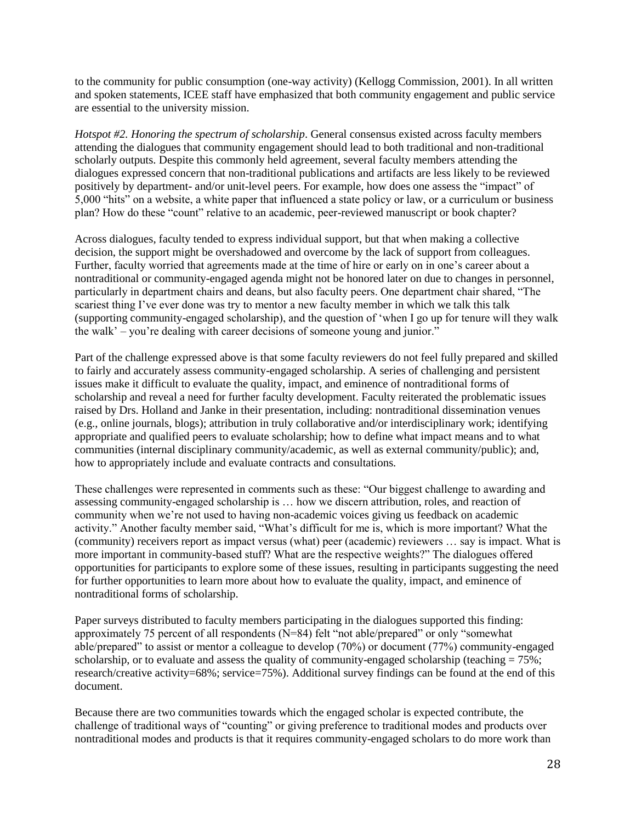to the community for public consumption (one-way activity) (Kellogg Commission, 2001). In all written and spoken statements, ICEE staff have emphasized that both community engagement and public service are essential to the university mission.

*Hotspot #2. Honoring the spectrum of scholarship.* General consensus existed across faculty members attending the dialogues that community engagement should lead to both traditional and non-traditional scholarly outputs. Despite this commonly held agreement, several faculty members attending the dialogues expressed concern that non-traditional publications and artifacts are less likely to be reviewed positively by department- and/or unit-level peers. For example, how does one assess the "impact" of 5,000 "hits" on a website, a white paper that influenced a state policy or law, or a curriculum or business plan? How do these "count" relative to an academic, peer-reviewed manuscript or book chapter?

Across dialogues, faculty tended to express individual support, but that when making a collective decision, the support might be overshadowed and overcome by the lack of support from colleagues. Further, faculty worried that agreements made at the time of hire or early on in one's career about a nontraditional or community-engaged agenda might not be honored later on due to changes in personnel, particularly in department chairs and deans, but also faculty peers. One department chair shared, "The scariest thing I've ever done was try to mentor a new faculty member in which we talk this talk (supporting community-engaged scholarship), and the question of 'when I go up for tenure will they walk the walk' – you're dealing with career decisions of someone young and junior."

Part of the challenge expressed above is that some faculty reviewers do not feel fully prepared and skilled to fairly and accurately assess community-engaged scholarship. A series of challenging and persistent issues make it difficult to evaluate the quality, impact, and eminence of nontraditional forms of scholarship and reveal a need for further faculty development. Faculty reiterated the problematic issues raised by Drs. Holland and Janke in their presentation, including: nontraditional dissemination venues (e.g., online journals, blogs); attribution in truly collaborative and/or interdisciplinary work; identifying appropriate and qualified peers to evaluate scholarship; how to define what impact means and to what communities (internal disciplinary community/academic, as well as external community/public); and, how to appropriately include and evaluate contracts and consultations.

These challenges were represented in comments such as these: "Our biggest challenge to awarding and assessing community-engaged scholarship is … how we discern attribution, roles, and reaction of community when we're not used to having non-academic voices giving us feedback on academic activity." Another faculty member said, "What's difficult for me is, which is more important? What the (community) receivers report as impact versus (what) peer (academic) reviewers … say is impact. What is more important in community-based stuff? What are the respective weights?" The dialogues offered opportunities for participants to explore some of these issues, resulting in participants suggesting the need for further opportunities to learn more about how to evaluate the quality, impact, and eminence of nontraditional forms of scholarship.

Paper surveys distributed to faculty members participating in the dialogues supported this finding: approximately 75 percent of all respondents (N=84) felt "not able/prepared" or only "somewhat able/prepared" to assist or mentor a colleague to develop (70%) or document (77%) community-engaged scholarship, or to evaluate and assess the quality of community-engaged scholarship (teaching  $= 75\%$ ; research/creative activity=68%; service=75%). Additional survey findings can be found at the end of this document.

Because there are two communities towards which the engaged scholar is expected contribute, the challenge of traditional ways of "counting" or giving preference to traditional modes and products over nontraditional modes and products is that it requires community-engaged scholars to do more work than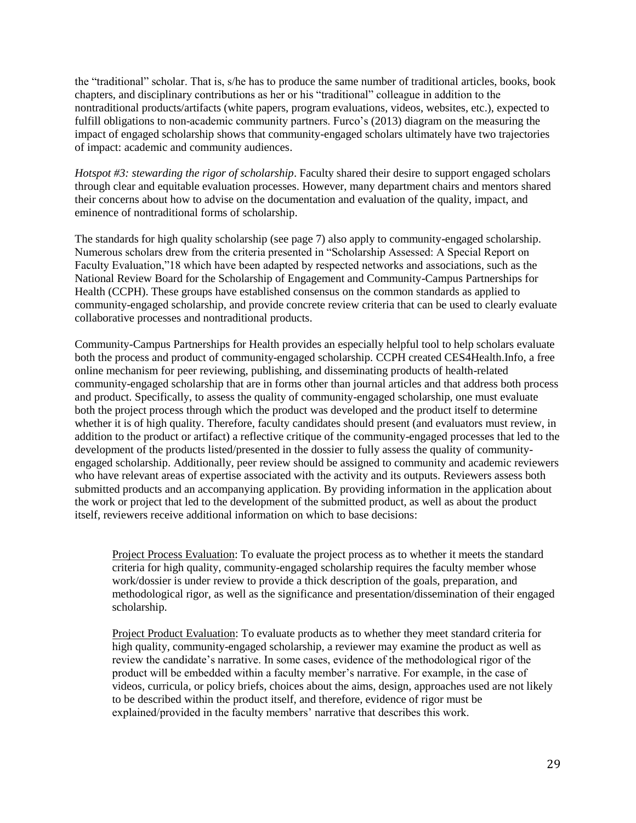the "traditional" scholar. That is, s/he has to produce the same number of traditional articles, books, book chapters, and disciplinary contributions as her or his "traditional" colleague in addition to the nontraditional products/artifacts (white papers, program evaluations, videos, websites, etc.), expected to fulfill obligations to non-academic community partners. Furco's (2013) diagram on the measuring the impact of engaged scholarship shows that community-engaged scholars ultimately have two trajectories of impact: academic and community audiences.

*Hotspot #3: stewarding the rigor of scholarship.* Faculty shared their desire to support engaged scholars through clear and equitable evaluation processes. However, many department chairs and mentors shared their concerns about how to advise on the documentation and evaluation of the quality, impact, and eminence of nontraditional forms of scholarship.

The standards for high quality scholarship (see page 7) also apply to community-engaged scholarship. Numerous scholars drew from the criteria presented in "Scholarship Assessed: A Special Report on Faculty Evaluation,"18 which have been adapted by respected networks and associations, such as the National Review Board for the Scholarship of Engagement and Community-Campus Partnerships for Health (CCPH). These groups have established consensus on the common standards as applied to community-engaged scholarship, and provide concrete review criteria that can be used to clearly evaluate collaborative processes and nontraditional products.

Community-Campus Partnerships for Health provides an especially helpful tool to help scholars evaluate both the process and product of community-engaged scholarship. CCPH created CES4Health.Info, a free online mechanism for peer reviewing, publishing, and disseminating products of health-related community-engaged scholarship that are in forms other than journal articles and that address both process and product. Specifically, to assess the quality of community-engaged scholarship, one must evaluate both the project process through which the product was developed and the product itself to determine whether it is of high quality. Therefore, faculty candidates should present (and evaluators must review, in addition to the product or artifact) a reflective critique of the community-engaged processes that led to the development of the products listed/presented in the dossier to fully assess the quality of communityengaged scholarship. Additionally, peer review should be assigned to community and academic reviewers who have relevant areas of expertise associated with the activity and its outputs. Reviewers assess both submitted products and an accompanying application. By providing information in the application about the work or project that led to the development of the submitted product, as well as about the product itself, reviewers receive additional information on which to base decisions:

Project Process Evaluation: To evaluate the project process as to whether it meets the standard criteria for high quality, community-engaged scholarship requires the faculty member whose work/dossier is under review to provide a thick description of the goals, preparation, and methodological rigor, as well as the significance and presentation/dissemination of their engaged scholarship.

Project Product Evaluation: To evaluate products as to whether they meet standard criteria for high quality, community-engaged scholarship, a reviewer may examine the product as well as review the candidate's narrative. In some cases, evidence of the methodological rigor of the product will be embedded within a faculty member's narrative. For example, in the case of videos, curricula, or policy briefs, choices about the aims, design, approaches used are not likely to be described within the product itself, and therefore, evidence of rigor must be explained/provided in the faculty members' narrative that describes this work.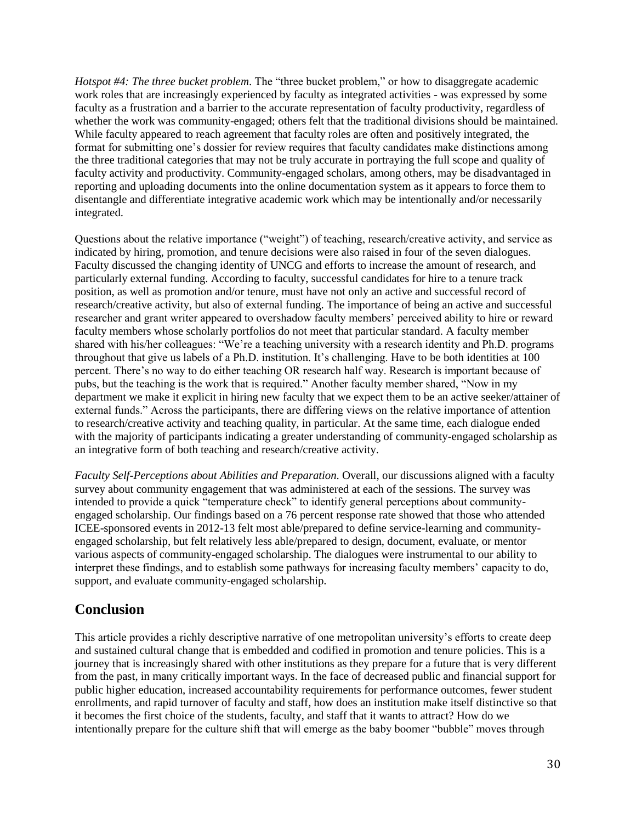*Hotspot #4: The three bucket problem.* The "three bucket problem," or how to disaggregate academic work roles that are increasingly experienced by faculty as integrated activities - was expressed by some faculty as a frustration and a barrier to the accurate representation of faculty productivity, regardless of whether the work was community-engaged; others felt that the traditional divisions should be maintained. While faculty appeared to reach agreement that faculty roles are often and positively integrated, the format for submitting one's dossier for review requires that faculty candidates make distinctions among the three traditional categories that may not be truly accurate in portraying the full scope and quality of faculty activity and productivity. Community-engaged scholars, among others, may be disadvantaged in reporting and uploading documents into the online documentation system as it appears to force them to disentangle and differentiate integrative academic work which may be intentionally and/or necessarily integrated.

Questions about the relative importance ("weight") of teaching, research/creative activity, and service as indicated by hiring, promotion, and tenure decisions were also raised in four of the seven dialogues. Faculty discussed the changing identity of UNCG and efforts to increase the amount of research, and particularly external funding. According to faculty, successful candidates for hire to a tenure track position, as well as promotion and/or tenure, must have not only an active and successful record of research/creative activity, but also of external funding. The importance of being an active and successful researcher and grant writer appeared to overshadow faculty members' perceived ability to hire or reward faculty members whose scholarly portfolios do not meet that particular standard. A faculty member shared with his/her colleagues: "We're a teaching university with a research identity and Ph.D. programs throughout that give us labels of a Ph.D. institution. It's challenging. Have to be both identities at 100 percent. There's no way to do either teaching OR research half way. Research is important because of pubs, but the teaching is the work that is required." Another faculty member shared, "Now in my department we make it explicit in hiring new faculty that we expect them to be an active seeker/attainer of external funds." Across the participants, there are differing views on the relative importance of attention to research/creative activity and teaching quality, in particular. At the same time, each dialogue ended with the majority of participants indicating a greater understanding of community-engaged scholarship as an integrative form of both teaching and research/creative activity.

*Faculty Self-Perceptions about Abilities and Preparation*. Overall, our discussions aligned with a faculty survey about community engagement that was administered at each of the sessions. The survey was intended to provide a quick "temperature check" to identify general perceptions about communityengaged scholarship. Our findings based on a 76 percent response rate showed that those who attended ICEE-sponsored events in 2012-13 felt most able/prepared to define service-learning and communityengaged scholarship, but felt relatively less able/prepared to design, document, evaluate, or mentor various aspects of community-engaged scholarship. The dialogues were instrumental to our ability to interpret these findings, and to establish some pathways for increasing faculty members' capacity to do, support, and evaluate community-engaged scholarship.

### **Conclusion**

This article provides a richly descriptive narrative of one metropolitan university's efforts to create deep and sustained cultural change that is embedded and codified in promotion and tenure policies. This is a journey that is increasingly shared with other institutions as they prepare for a future that is very different from the past, in many critically important ways. In the face of decreased public and financial support for public higher education, increased accountability requirements for performance outcomes, fewer student enrollments, and rapid turnover of faculty and staff, how does an institution make itself distinctive so that it becomes the first choice of the students, faculty, and staff that it wants to attract? How do we intentionally prepare for the culture shift that will emerge as the baby boomer "bubble" moves through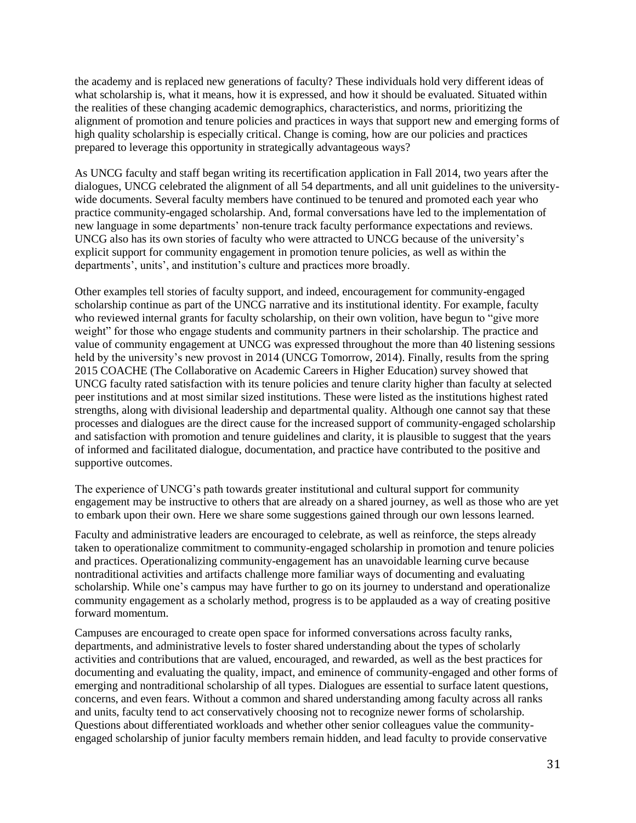the academy and is replaced new generations of faculty? These individuals hold very different ideas of what scholarship is, what it means, how it is expressed, and how it should be evaluated. Situated within the realities of these changing academic demographics, characteristics, and norms, prioritizing the alignment of promotion and tenure policies and practices in ways that support new and emerging forms of high quality scholarship is especially critical. Change is coming, how are our policies and practices prepared to leverage this opportunity in strategically advantageous ways?

As UNCG faculty and staff began writing its recertification application in Fall 2014, two years after the dialogues, UNCG celebrated the alignment of all 54 departments, and all unit guidelines to the universitywide documents. Several faculty members have continued to be tenured and promoted each year who practice community-engaged scholarship. And, formal conversations have led to the implementation of new language in some departments' non-tenure track faculty performance expectations and reviews. UNCG also has its own stories of faculty who were attracted to UNCG because of the university's explicit support for community engagement in promotion tenure policies, as well as within the departments', units', and institution's culture and practices more broadly.

Other examples tell stories of faculty support, and indeed, encouragement for community-engaged scholarship continue as part of the UNCG narrative and its institutional identity. For example, faculty who reviewed internal grants for faculty scholarship, on their own volition, have begun to "give more weight" for those who engage students and community partners in their scholarship. The practice and value of community engagement at UNCG was expressed throughout the more than 40 listening sessions held by the university's new provost in 2014 (UNCG Tomorrow, 2014). Finally, results from the spring 2015 COACHE (The Collaborative on Academic Careers in Higher Education) survey showed that UNCG faculty rated satisfaction with its tenure policies and tenure clarity higher than faculty at selected peer institutions and at most similar sized institutions. These were listed as the institutions highest rated strengths, along with divisional leadership and departmental quality. Although one cannot say that these processes and dialogues are the direct cause for the increased support of community-engaged scholarship and satisfaction with promotion and tenure guidelines and clarity, it is plausible to suggest that the years of informed and facilitated dialogue, documentation, and practice have contributed to the positive and supportive outcomes.

The experience of UNCG's path towards greater institutional and cultural support for community engagement may be instructive to others that are already on a shared journey, as well as those who are yet to embark upon their own. Here we share some suggestions gained through our own lessons learned.

Faculty and administrative leaders are encouraged to celebrate, as well as reinforce, the steps already taken to operationalize commitment to community-engaged scholarship in promotion and tenure policies and practices. Operationalizing community-engagement has an unavoidable learning curve because nontraditional activities and artifacts challenge more familiar ways of documenting and evaluating scholarship. While one's campus may have further to go on its journey to understand and operationalize community engagement as a scholarly method, progress is to be applauded as a way of creating positive forward momentum.

Campuses are encouraged to create open space for informed conversations across faculty ranks, departments, and administrative levels to foster shared understanding about the types of scholarly activities and contributions that are valued, encouraged, and rewarded, as well as the best practices for documenting and evaluating the quality, impact, and eminence of community-engaged and other forms of emerging and nontraditional scholarship of all types. Dialogues are essential to surface latent questions, concerns, and even fears. Without a common and shared understanding among faculty across all ranks and units, faculty tend to act conservatively choosing not to recognize newer forms of scholarship. Questions about differentiated workloads and whether other senior colleagues value the communityengaged scholarship of junior faculty members remain hidden, and lead faculty to provide conservative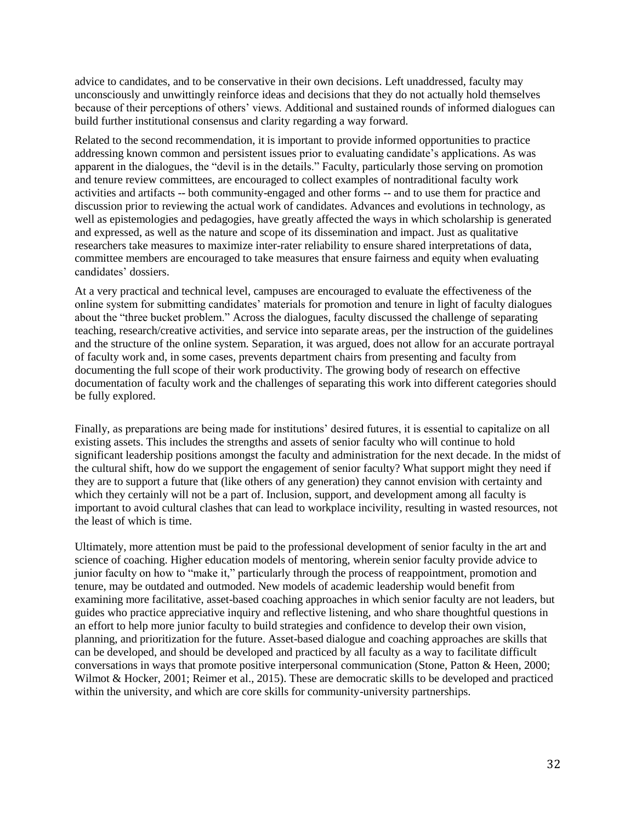advice to candidates, and to be conservative in their own decisions. Left unaddressed, faculty may unconsciously and unwittingly reinforce ideas and decisions that they do not actually hold themselves because of their perceptions of others' views. Additional and sustained rounds of informed dialogues can build further institutional consensus and clarity regarding a way forward.

Related to the second recommendation, it is important to provide informed opportunities to practice addressing known common and persistent issues prior to evaluating candidate's applications. As was apparent in the dialogues, the "devil is in the details." Faculty, particularly those serving on promotion and tenure review committees, are encouraged to collect examples of nontraditional faculty work activities and artifacts -- both community-engaged and other forms -- and to use them for practice and discussion prior to reviewing the actual work of candidates. Advances and evolutions in technology, as well as epistemologies and pedagogies, have greatly affected the ways in which scholarship is generated and expressed, as well as the nature and scope of its dissemination and impact. Just as qualitative researchers take measures to maximize inter-rater reliability to ensure shared interpretations of data, committee members are encouraged to take measures that ensure fairness and equity when evaluating candidates' dossiers.

At a very practical and technical level, campuses are encouraged to evaluate the effectiveness of the online system for submitting candidates' materials for promotion and tenure in light of faculty dialogues about the "three bucket problem." Across the dialogues, faculty discussed the challenge of separating teaching, research/creative activities, and service into separate areas, per the instruction of the guidelines and the structure of the online system. Separation, it was argued, does not allow for an accurate portrayal of faculty work and, in some cases, prevents department chairs from presenting and faculty from documenting the full scope of their work productivity. The growing body of research on effective documentation of faculty work and the challenges of separating this work into different categories should be fully explored.

Finally, as preparations are being made for institutions' desired futures, it is essential to capitalize on all existing assets. This includes the strengths and assets of senior faculty who will continue to hold significant leadership positions amongst the faculty and administration for the next decade. In the midst of the cultural shift, how do we support the engagement of senior faculty? What support might they need if they are to support a future that (like others of any generation) they cannot envision with certainty and which they certainly will not be a part of. Inclusion, support, and development among all faculty is important to avoid cultural clashes that can lead to workplace incivility, resulting in wasted resources, not the least of which is time.

Ultimately, more attention must be paid to the professional development of senior faculty in the art and science of coaching. Higher education models of mentoring, wherein senior faculty provide advice to junior faculty on how to "make it," particularly through the process of reappointment, promotion and tenure, may be outdated and outmoded. New models of academic leadership would benefit from examining more facilitative, asset-based coaching approaches in which senior faculty are not leaders, but guides who practice appreciative inquiry and reflective listening, and who share thoughtful questions in an effort to help more junior faculty to build strategies and confidence to develop their own vision, planning, and prioritization for the future. Asset-based dialogue and coaching approaches are skills that can be developed, and should be developed and practiced by all faculty as a way to facilitate difficult conversations in ways that promote positive interpersonal communication (Stone, Patton & Heen, 2000; Wilmot & Hocker, 2001; Reimer et al., 2015). These are democratic skills to be developed and practiced within the university, and which are core skills for community-university partnerships.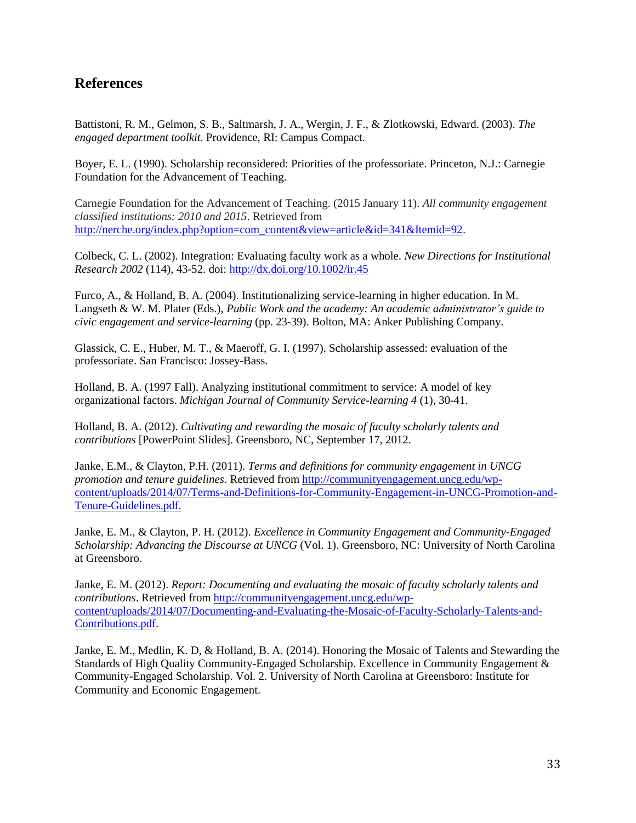## **References**

Battistoni, R. M., Gelmon, S. B., Saltmarsh, J. A., Wergin, J. F., & Zlotkowski, Edward. (2003). *The engaged department toolkit*. Providence, RI: Campus Compact.

Boyer, E. L. (1990). Scholarship reconsidered: Priorities of the professoriate. Princeton, N.J.: Carnegie Foundation for the Advancement of Teaching.

Carnegie Foundation for the Advancement of Teaching. (2015 January 11). *All community engagement classified institutions: 2010 and 2015*. Retrieved from [http://nerche.org/index.php?option=com\\_content&view=article&id=341&Itemid=92.](http://nerche.org/index.php?option=com_content&view=article&id=341&Itemid=92)

Colbeck, C. L. (2002). Integration: Evaluating faculty work as a whole. *New Directions for Institutional Research 2002* (114), 43-52. doi:<http://dx.doi.org/10.1002/ir.45>

Furco, A., & Holland, B. A. (2004). Institutionalizing service-learning in higher education. In M. Langseth & W. M. Plater (Eds.), *Public Work and the academy: An academic administrator's guide to civic engagement and service-learning* (pp. 23-39). Bolton, MA: Anker Publishing Company.

Glassick, C. E., Huber, M. T., & Maeroff, G. I. (1997). Scholarship assessed: evaluation of the professoriate. San Francisco: Jossey-Bass.

Holland, B. A. (1997 Fall). Analyzing institutional commitment to service: A model of key organizational factors. *Michigan Journal of Community Service-learning 4* (1), 30-41.

Holland, B. A. (2012). *Cultivating and rewarding the mosaic of faculty scholarly talents and contributions* [PowerPoint Slides]. Greensboro, NC, September 17, 2012.

Janke, E.M., & Clayton, P.H. (2011). *Terms and definitions for community engagement in UNCG promotion and tenure guidelines*. Retrieved from [http://communityengagement.uncg.edu/wp](http://communityengagement.uncg.edu/wp-content/uploads/2014/07/Terms-and-Definitions-for-Community-Engagement-in-UNCG-Promotion-and-Tenure-Guidelines.pdf)[content/uploads/2014/07/Terms-and-Definitions-for-Community-Engagement-in-UNCG-Promotion-and-](http://communityengagement.uncg.edu/wp-content/uploads/2014/07/Terms-and-Definitions-for-Community-Engagement-in-UNCG-Promotion-and-Tenure-Guidelines.pdf)[Tenure-Guidelines.pdf.](http://communityengagement.uncg.edu/wp-content/uploads/2014/07/Terms-and-Definitions-for-Community-Engagement-in-UNCG-Promotion-and-Tenure-Guidelines.pdf)

Janke, E. M., & Clayton, P. H. (2012). *Excellence in Community Engagement and Community-Engaged Scholarship: Advancing the Discourse at UNCG* (Vol. 1). Greensboro, NC: University of North Carolina at Greensboro.

Janke, E. M. (2012). *Report: Documenting and evaluating the mosaic of faculty scholarly talents and contributions*. Retrieved from [http://communityengagement.uncg.edu/wp](http://communityengagement.uncg.edu/wp-content/uploads/2014/07/Documenting-and-Evaluating-the-Mosaic-of-Faculty-Scholarly-Talents-and-Contributions.pdf)[content/uploads/2014/07/Documenting-and-Evaluating-the-Mosaic-of-Faculty-Scholarly-Talents-and-](http://communityengagement.uncg.edu/wp-content/uploads/2014/07/Documenting-and-Evaluating-the-Mosaic-of-Faculty-Scholarly-Talents-and-Contributions.pdf)[Contributions.pdf.](http://communityengagement.uncg.edu/wp-content/uploads/2014/07/Documenting-and-Evaluating-the-Mosaic-of-Faculty-Scholarly-Talents-and-Contributions.pdf)

Janke, E. M., Medlin, K. D, & Holland, B. A. (2014). Honoring the Mosaic of Talents and Stewarding the Standards of High Quality Community-Engaged Scholarship. Excellence in Community Engagement & Community-Engaged Scholarship. Vol. 2. University of North Carolina at Greensboro: Institute for Community and Economic Engagement.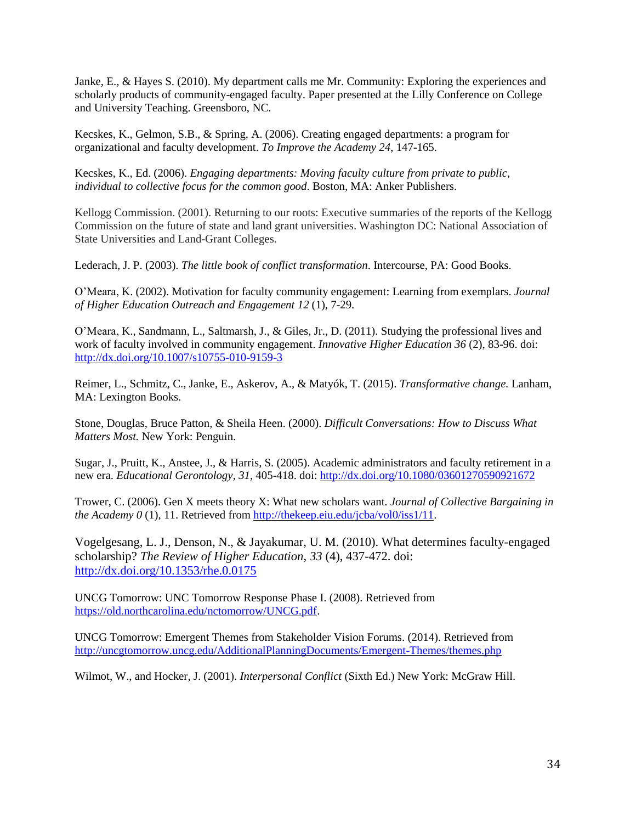Janke, E., & Hayes S. (2010). My department calls me Mr. Community: Exploring the experiences and scholarly products of community-engaged faculty. Paper presented at the Lilly Conference on College and University Teaching. Greensboro, NC.

Kecskes, K., Gelmon, S.B., & Spring, A. (2006). Creating engaged departments: a program for organizational and faculty development. *To Improve the Academy 24*, 147-165.

Kecskes, K., Ed. (2006). *Engaging departments: Moving faculty culture from private to public, individual to collective focus for the common good*. Boston, MA: Anker Publishers.

Kellogg Commission. (2001). Returning to our roots: Executive summaries of the reports of the Kellogg Commission on the future of state and land grant universities. Washington DC: National Association of State Universities and Land-Grant Colleges.

Lederach, J. P. (2003). *The little book of conflict transformation*. Intercourse, PA: Good Books.

O'Meara, K. (2002). Motivation for faculty community engagement: Learning from exemplars. *Journal of Higher Education Outreach and Engagement 12* (1), 7-29.

O'Meara, K., Sandmann, L., Saltmarsh, J., & Giles, Jr., D. (2011). Studying the professional lives and work of faculty involved in community engagement. *Innovative Higher Education 36* (2), 83-96. doi: <http://dx.doi.org/10.1007/s10755-010-9159-3>

Reimer, L., Schmitz, C., Janke, E., Askerov, A., & Matyók, T. (2015). *Transformative change.* Lanham, MA: Lexington Books.

Stone, Douglas, Bruce Patton, & Sheila Heen. (2000). *Difficult Conversations: How to Discuss What Matters Most.* New York: Penguin.

Sugar, J., Pruitt, K., Anstee, J., & Harris, S. (2005). Academic administrators and faculty retirement in a new era. *Educational Gerontology*, *31*, 405-418. doi: <http://dx.doi.org/10.1080/03601270590921672>

Trower, C. (2006). Gen X meets theory X: What new scholars want. *Journal of Collective Bargaining in the Academy 0* (1), 11. Retrieved from [http://thekeep.eiu.edu/jcba/vol0/iss1/11.](http://thekeep.eiu.edu/jcba/vol0/iss1/11)

Vogelgesang, L. J., Denson, N., & Jayakumar, U. M. (2010). What determines faculty-engaged scholarship? *The Review of Higher Education*, *33* (4), 437-472. doi: <http://dx.doi.org/10.1353/rhe.0.0175>

UNCG Tomorrow: UNC Tomorrow Response Phase I. (2008). Retrieved from [https://old.northcarolina.edu/nctomorrow/UNCG.pdf.](https://old.northcarolina.edu/nctomorrow/UNCG.pdf)

UNCG Tomorrow: Emergent Themes from Stakeholder Vision Forums. (2014). Retrieved from <http://uncgtomorrow.uncg.edu/AdditionalPlanningDocuments/Emergent-Themes/themes.php>

Wilmot, W., and Hocker, J. (2001). *Interpersonal Conflict* (Sixth Ed.) New York: McGraw Hill.